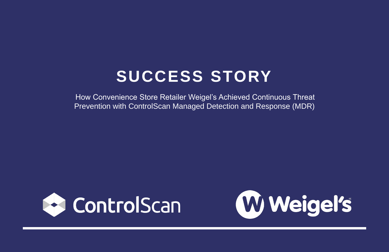## **SUCCESS STORY**

How Convenience Store Retailer Weigel's Achieved Continuous Threat Prevention with ControlScan Managed Detection and Response (MDR)





# W Weigel's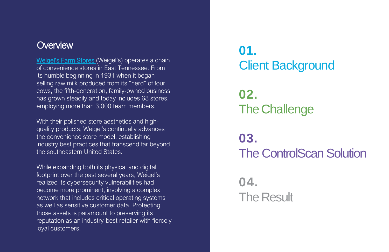# **01.** Client Background **02.** The Challenge **03.** The ControlScan Solution **04. The Result**

### **Overview**

[Weigel's Farm Stores](https://www.weigels.com/) (Weigel's) operates a chain of convenience stores in East Tennessee. From its humble beginning in 1931 when it began selling raw milk produced from its "herd" of four cows, the fifth-generation, family-owned business has grown steadily and today includes 68 stores, employing more than 3,000 team members.

With their polished store aesthetics and highquality products, Weigel's continually advances the convenience store model, establishing industry best practices that transcend far beyond the southeastern United States.

While expanding both its physical and digital footprint over the past several years, Weigel's realized its cybersecurity vulnerabilities had become more prominent, involving a complex network that includes critical operating systems as well as sensitive customer data. Protecting those assets is paramount to preserving its reputation as an industry-best retailer with fiercely loyal customers.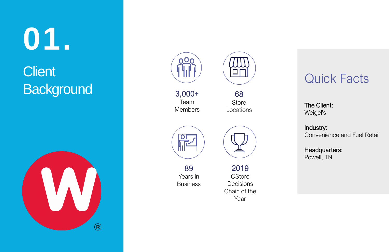**0 1 .**

## **Client Background**







### Quick Facts

The Client: Weigel's

Industry: Convenience and Fuel Retail

89 Years in **Business** 

Headquarters: Powell, TN

3,000+ Team Members

68 Store Locations





2019 **CStore Decisions** Chain of the Year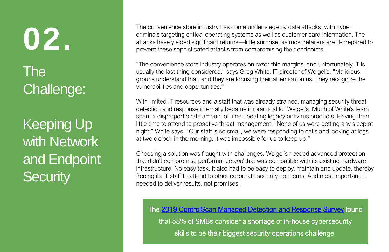The convenience store industry has come under siege by data attacks, with cyber criminals targeting critical operating systems as well as customer card information. The attacks have yielded significant returns—little surprise, as most retailers are ill-prepared to prevent these sophisticated attacks from compromising their endpoints.

"The convenience store industry operates on razor thin margins, and unfortunately IT is usually the last thing considered," says Greg White, IT director of Weigel's. "Malicious groups understand that, and they are focusing their attention on us. They recognize the vulnerabilities and opportunities."

Keeping Up with Network and Endpoint **Security** 

With limited IT resources and a staff that was already strained, managing security threat detection and response internally became impractical for Weigel's. Much of White's team spent a disproportionate amount of time updating legacy antivirus products, leaving them little time to attend to proactive threat management. "None of us were getting any sleep at night," White says. "Our staff is so small, we were responding to calls and looking at logs at two o'clock in the morning. It was impossible for us to keep up."

Choosing a solution was fraught with challenges. Weigel's needed advanced protection that didn't compromise performance *and* that was compatible with its existing hardware infrastructure. No easy task. It also had to be easy to deploy, maintain and update, thereby freeing its IT staff to attend to other corporate security concerns. And most important, it needed to deliver results, not promises.

**02.** The Challenge:

> The [2019 ControlScan Managed Detection and Response Survey](https://www.controlscan.com/2019-mdr-research-report/) found that 58% of SMBs consider a shortage of in-house cybersecurity skills to be their biggest security operations challenge.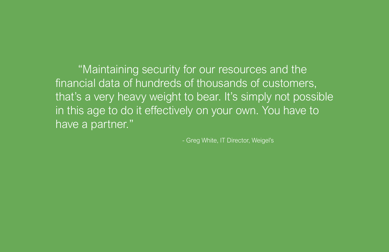"Maintaining security for our resources and the financial data of hundreds of thousands of customers, that's a very heavy weight to bear. It's simply not possible in this age to do it effectively on your own. You have to have a partner."

- Greg White, IT Director, Weigel's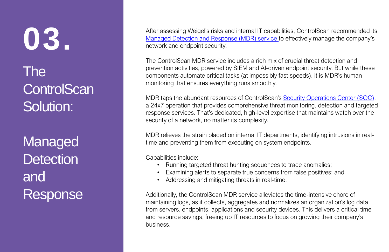After assessing Weigel's risks and internal IT capabilities, ControlScan recommended its [Managed Detection and Response \(MDR\) service](https://www.controlscan.com/security/managed-detection-response-mdr/) to effectively manage the company's network and endpoint security.

The ControlScan MDR service includes a rich mix of crucial threat detection and prevention activities, powered by SIEM and AI-driven endpoint security. But while these components automate critical tasks (at impossibly fast speeds), it is MDR's human monitoring that ensures everything runs smoothly.

MDR taps the abundant resources of ControlScan's **[Security Operations Center \(SOC\)](https://www.controlscan.com/managed-detection-and-response-by-controlscan/)**, a 24x7 operation that provides comprehensive threat monitoring, detection and targeted response services. That's dedicated, high-level expertise that maintains watch over the security of a network, no matter its complexity.

MDR relieves the strain placed on internal IT departments, identifying intrusions in realtime and preventing them from executing on system endpoints.

Capabilities include:

- Running targeted threat hunting sequences to trace anomalies;
- Examining alerts to separate true concerns from false positives; and
- Addressing and mitigating threats in real-time.

Additionally, the ControlScan MDR service alleviates the time-intensive chore of maintaining logs, as it collects, aggregates and normalizes an organization's log data from servers, endpoints, applications and security devices. This delivers a critical time and resource savings, freeing up IT resources to focus on growing their company's business.

**03.** The **ControlScan** Solution:

Managed **Detection** and Response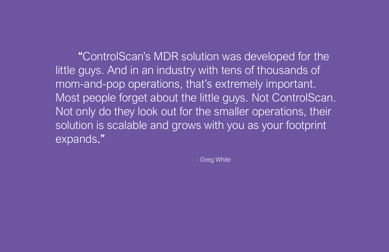"ControlScan's MDR solution was developed for the little guys. And in an industry with tens of thousands of mom-and-pop operations, that's extremely important. Most people forget about the little guys. Not ControlScan. Not only do they look out for the smaller operations, their solution is scalable and grows with you as your footprint expands."

- Greg White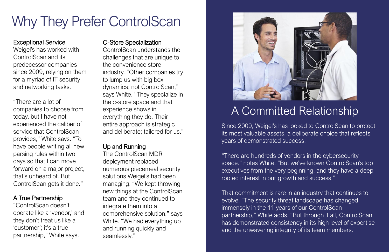## Why They Prefer ControlScan

### A Committed Relationship

#### Exceptional Service

Weigel's has worked with ControlScan and its predecessor companies since 2009, relying on them for a myriad of IT security and networking tasks.

"There are a lot of companies to choose from today, but I have not experienced the caliber of service that ControlScan provides," White says. "To have people writing all new parsing rules within two days so that I can move forward on a major project, that's unheard of. But ControlScan gets it done."

#### A True Partnership

"ControlScan doesn't operate like a 'vendor,' and they don't treat us like a 'customer'; it's a true partnership," White says.

### C-Store Specialization

ControlScan understands the challenges that are unique to the convenience store industry. "Other companies try to lump us with big box dynamics; not ControlScan," says White. "They specialize in the c-store space and that experience shows in everything they do. Their entire approach is strategic and deliberate; tailored for us."

### Up and Running

The ControlScan MDR deployment replaced numerous piecemeal security solutions Weigel's had been managing. "We kept throwing new things at the ControlScan team and they continued to integrate them into a comprehensive solution," says White. "We had everything up and running quickly and seamlessly."



Since 2009, Weigel's has looked to ControlScan to protect its most valuable assets, a deliberate choice that reflects years of demonstrated success.

"There are hundreds of vendors in the cybersecurity space." notes White. "But we've known ControlScan's top executives from the very beginning, and they have a deeprooted interest in our growth and success."

That commitment is rare in an industry that continues to evolve. "The security threat landscape has changed immensely in the 11 years of our ControlScan partnership," White adds. "But through it all, ControlScan has demonstrated consistency in its high level of expertise and the unwavering integrity of its team members."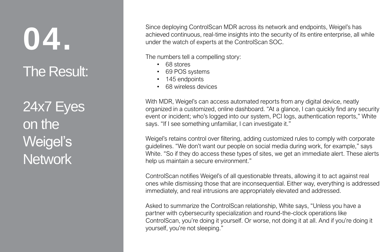Since deploying ControlScan MDR across its network and endpoints, Weigel's has achieved continuous, real-time insights into the security of its entire enterprise, all while under the watch of experts at the ControlScan SOC.

The numbers tell a compelling story:

- 68 stores
- 69 POS systems
- 145 endpoints
- 68 wireless devices

With MDR, Weigel's can access automated reports from any digital device, neatly organized in a customized, online dashboard. "At a glance, I can quickly find any security event or incident; who's logged into our system, PCI logs, authentication reports," White says. "If I see something unfamiliar, I can investigate it."

**04.** The Result:

24x7 Eyes on the Weigel's **Network** 

Weigel's retains control over filtering, adding customized rules to comply with corporate guidelines. "We don't want our people on social media during work, for example," says White. "So if they do access these types of sites, we get an immediate alert. These alerts help us maintain a secure environment."

ControlScan notifies Weigel's of all questionable threats, allowing it to act against real ones while dismissing those that are inconsequential. Either way, everything is addressed immediately, and real intrusions are appropriately elevated and addressed.

Asked to summarize the ControlScan relationship, White says, "Unless you have a partner with cybersecurity specialization and round-the-clock operations like ControlScan, you're doing it yourself. Or worse, not doing it at all. And if you're doing it yourself, you're not sleeping."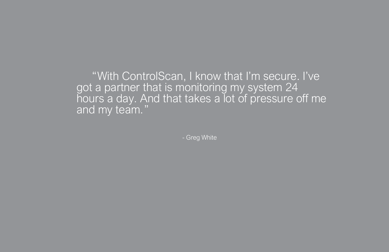"With ControlScan, I know that I'm secure. I've got a partner that is monitoring my system 24 hours a day. And that takes a lot of pressure off me and my team."

- Greg White